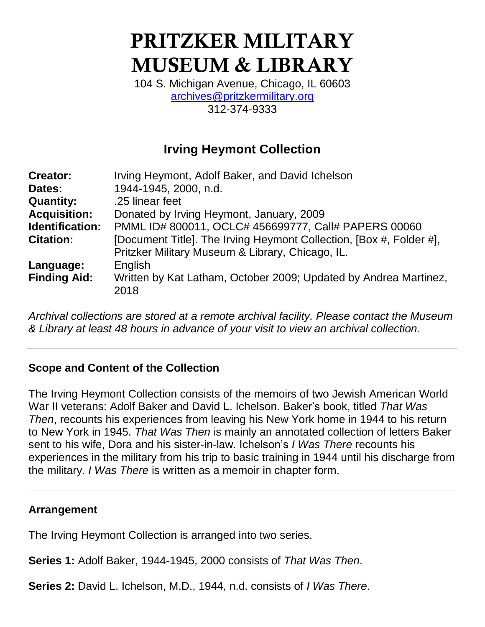# **PRITZKER MILITARY MUSEUM & LIBRARY**

104 S. Michigan Avenue, Chicago, IL 60603 [archives@pritzkermilitary.org](mailto:archives@pritzkermilitary.org) 312-374-9333

## **Irving Heymont Collection**

| <b>Creator:</b>        | Irving Heymont, Adolf Baker, and David Ichelson                                                                         |  |
|------------------------|-------------------------------------------------------------------------------------------------------------------------|--|
| Dates:                 | 1944-1945, 2000, n.d.                                                                                                   |  |
| <b>Quantity:</b>       | .25 linear feet                                                                                                         |  |
| <b>Acquisition:</b>    | Donated by Irving Heymont, January, 2009                                                                                |  |
| <b>Identification:</b> | PMML ID# 800011, OCLC# 456699777, Call# PAPERS 00060                                                                    |  |
| <b>Citation:</b>       | [Document Title]. The Irving Heymont Collection, [Box #, Folder #],<br>Pritzker Military Museum & Library, Chicago, IL. |  |
| Language:              | English                                                                                                                 |  |
| <b>Finding Aid:</b>    | Written by Kat Latham, October 2009; Updated by Andrea Martinez,<br>2018                                                |  |

*Archival collections are stored at a remote archival facility. Please contact the Museum & Library at least 48 hours in advance of your visit to view an archival collection.*

#### **Scope and Content of the Collection**

The Irving Heymont Collection consists of the memoirs of two Jewish American World War II veterans: Adolf Baker and David L. Ichelson. Baker's book, titled *That Was Then*, recounts his experiences from leaving his New York home in 1944 to his return to New York in 1945. *That Was Then* is mainly an annotated collection of letters Baker sent to his wife, Dora and his sister-in-law. Ichelson's *I Was There* recounts his experiences in the military from his trip to basic training in 1944 until his discharge from the military. *I Was There* is written as a memoir in chapter form.

#### **Arrangement**

The Irving Heymont Collection is arranged into two series.

**Series 1:** Adolf Baker, 1944-1945, 2000 consists of *That Was Then*.

**Series 2:** David L. Ichelson, M.D., 1944, n.d. consists of *I Was There*.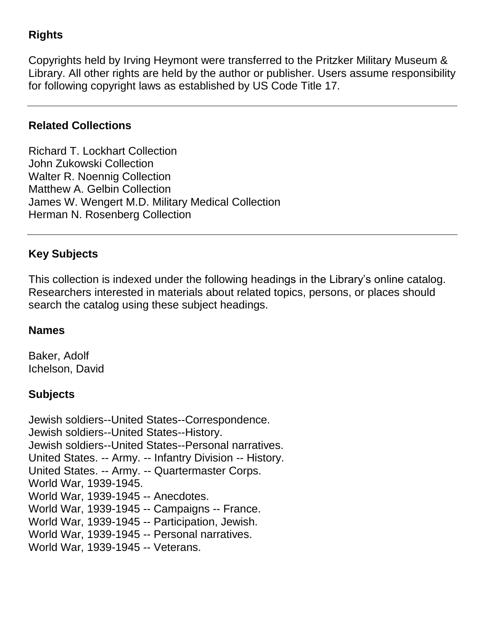### **Rights**

Copyrights held by Irving Heymont were transferred to the Pritzker Military Museum & Library. All other rights are held by the author or publisher. Users assume responsibility for following copyright laws as established by US Code Title 17.

#### **Related Collections**

Richard T. Lockhart Collection John Zukowski Collection Walter R. Noennig Collection Matthew A. Gelbin Collection James W. Wengert M.D. Military Medical Collection Herman N. Rosenberg Collection

#### **Key Subjects**

This collection is indexed under the following headings in the Library's online catalog. Researchers interested in materials about related topics, persons, or places should search the catalog using these subject headings.

#### **Names**

Baker, Adolf Ichelson, David

#### **Subjects**

Jewish soldiers--United States--Correspondence. Jewish soldiers--United States--History. Jewish soldiers--United States--Personal narratives. United States. -- Army. -- Infantry Division -- History. United States. -- Army. -- Quartermaster Corps. World War, 1939-1945. World War, 1939-1945 -- Anecdotes. World War, 1939-1945 -- Campaigns -- France. World War, 1939-1945 -- Participation, Jewish. World War, 1939-1945 -- Personal narratives. World War, 1939-1945 -- Veterans.